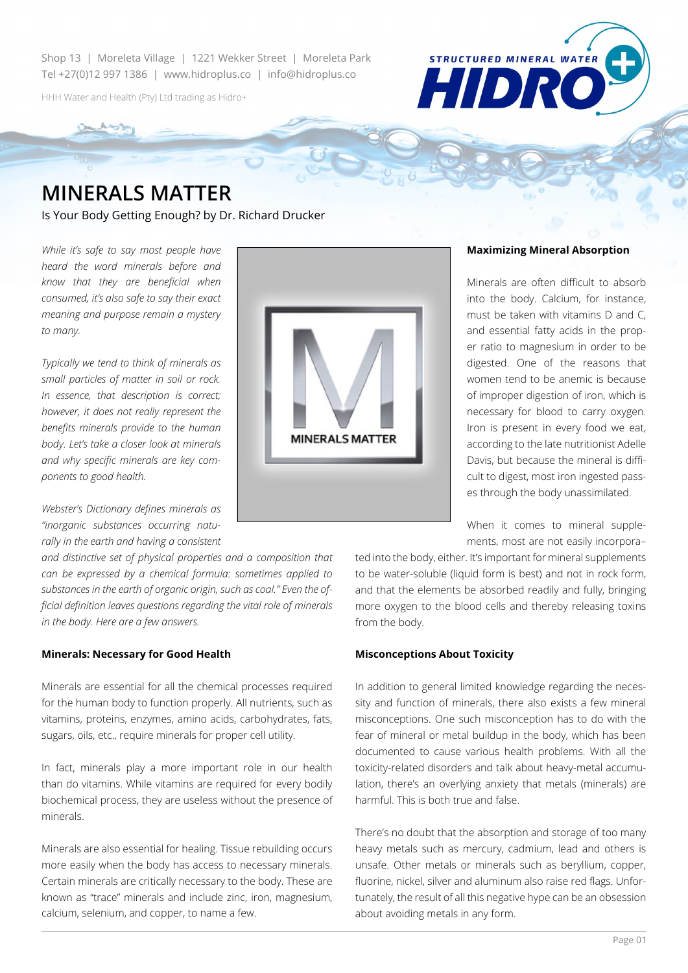Shop 13 | Moreleta Village | 1221 Wekker Street | Moreleta Park Tel +27(0)12 997 1386 | www.hidroplus.co | info@hidroplus.co

HHH Water and Health (Pty) Ltd trading as Hidro+



# **MINERALS MATTER**

Is Your Body Getting Enough? by Dr. Richard Drucker

*While it's safe to say most people have heard the word minerals before and know that they are beneficial when consumed, it's also safe to say their exact meaning and purpose remain a mystery to many.* 

*Typically we tend to think of minerals as small particles of matter in soil or rock. In essence, that description is correct; however, it does not really represent the benefits minerals provide to the human body. Let's take a closer look at minerals and why specific minerals are key components to good health.*

*Webster's Dictionary defines minerals as "inorganic substances occurring naturally in the earth and having a consistent* 

*and distinctive set of physical properties and a composition that can be expressed by a chemical formula: sometimes applied to substances in the earth of organic origin, such as coal." Even the official definition leaves questions regarding the vital role of minerals in the body. Here are a few answers.*

### **Minerals: Necessary for Good Health**

Minerals are essential for all the chemical processes required for the human body to function properly. All nutrients, such as vitamins, proteins, enzymes, amino acids, carbohydrates, fats, sugars, oils, etc., require minerals for proper cell utility.

In fact, minerals play a more important role in our health than do vitamins. While vitamins are required for every bodily biochemical process, they are useless without the presence of minerals.

Minerals are also essential for healing. Tissue rebuilding occurs more easily when the body has access to necessary minerals. Certain minerals are critically necessary to the body. These are known as "trace" minerals and include zinc, iron, magnesium, calcium, selenium, and copper, to name a few.



## **Maximizing Mineral Absorption**

Minerals are often difficult to absorb into the body. Calcium, for instance, must be taken with vitamins D and C, and essential fatty acids in the proper ratio to magnesium in order to be digested. One of the reasons that women tend to be anemic is because of improper digestion of iron, which is necessary for blood to carry oxygen. Iron is present in every food we eat, according to the late nutritionist Adelle Davis, but because the mineral is difficult to digest, most iron ingested passes through the body unassimilated.

When it comes to mineral supplements, most are not easily incorpora–

ted into the body, either. It's important for mineral supplements to be water-soluble (liquid form is best) and not in rock form, and that the elements be absorbed readily and fully, bringing more oxygen to the blood cells and thereby releasing toxins from the body.

#### **Misconceptions About Toxicity**

In addition to general limited knowledge regarding the necessity and function of minerals, there also exists a few mineral misconceptions. One such misconception has to do with the fear of mineral or metal buildup in the body, which has been documented to cause various health problems. With all the toxicity-related disorders and talk about heavy-metal accumulation, there's an overlying anxiety that metals (minerals) are harmful. This is both true and false.

There's no doubt that the absorption and storage of too many heavy metals such as mercury, cadmium, lead and others is unsafe. Other metals or minerals such as beryllium, copper, fluorine, nickel, silver and aluminum also raise red flags. Unfortunately, the result of all this negative hype can be an obsession about avoiding metals in any form.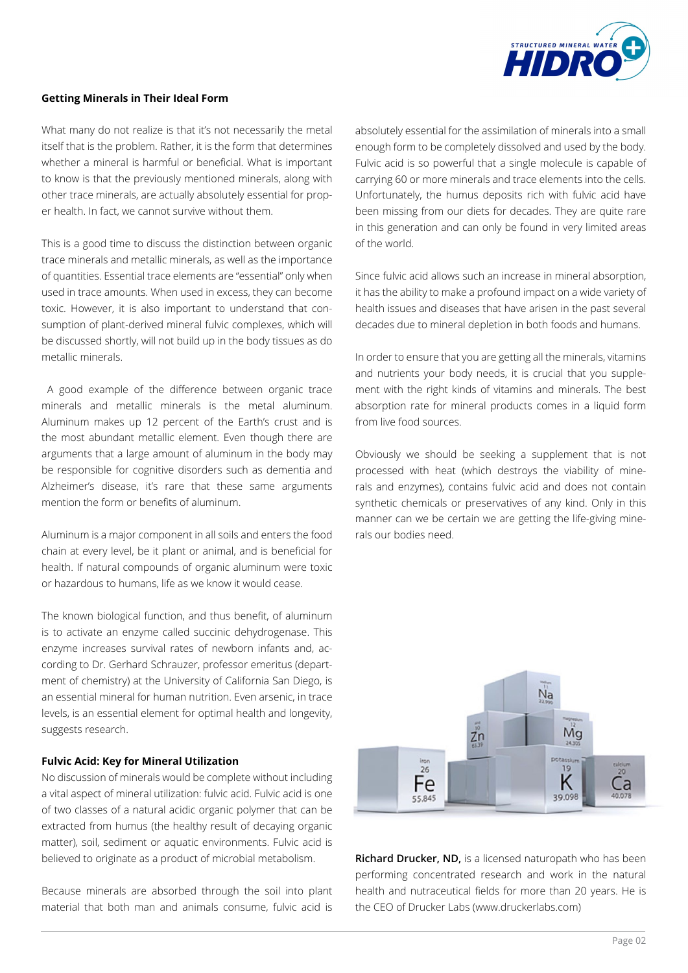

# **Getting Minerals in Their Ideal Form**

What many do not realize is that it's not necessarily the metal itself that is the problem. Rather, it is the form that determines whether a mineral is harmful or beneficial. What is important to know is that the previously mentioned minerals, along with other trace minerals, are actually absolutely essential for proper health. In fact, we cannot survive without them.

This is a good time to discuss the distinction between organic trace minerals and metallic minerals, as well as the importance of quantities. Essential trace elements are "essential" only when used in trace amounts. When used in excess, they can become toxic. However, it is also important to understand that consumption of plant-derived mineral fulvic complexes, which will be discussed shortly, will not build up in the body tissues as do metallic minerals.

 A good example of the difference between organic trace minerals and metallic minerals is the metal aluminum. Aluminum makes up 12 percent of the Earth's crust and is the most abundant metallic element. Even though there are arguments that a large amount of aluminum in the body may be responsible for cognitive disorders such as dementia and Alzheimer's disease, it's rare that these same arguments mention the form or benefits of aluminum.

Aluminum is a major component in all soils and enters the food chain at every level, be it plant or animal, and is beneficial for health. If natural compounds of organic aluminum were toxic or hazardous to humans, life as we know it would cease.

The known biological function, and thus benefit, of aluminum is to activate an enzyme called succinic dehydrogenase. This enzyme increases survival rates of newborn infants and, according to Dr. Gerhard Schrauzer, professor emeritus (department of chemistry) at the University of California San Diego, is an essential mineral for human nutrition. Even arsenic, in trace levels, is an essential element for optimal health and longevity, suggests research.

## **Fulvic Acid: Key for Mineral Utilization**

No discussion of minerals would be complete without including a vital aspect of mineral utilization: fulvic acid. Fulvic acid is one of two classes of a natural acidic organic polymer that can be extracted from humus (the healthy result of decaying organic matter), soil, sediment or aquatic environments. Fulvic acid is believed to originate as a product of microbial metabolism.

Because minerals are absorbed through the soil into plant material that both man and animals consume, fulvic acid is

absolutely essential for the assimilation of minerals into a small enough form to be completely dissolved and used by the body. Fulvic acid is so powerful that a single molecule is capable of carrying 60 or more minerals and trace elements into the cells. Unfortunately, the humus deposits rich with fulvic acid have been missing from our diets for decades. They are quite rare in this generation and can only be found in very limited areas of the world.

Since fulvic acid allows such an increase in mineral absorption, it has the ability to make a profound impact on a wide variety of health issues and diseases that have arisen in the past several decades due to mineral depletion in both foods and humans.

In order to ensure that you are getting all the minerals, vitamins and nutrients your body needs, it is crucial that you supplement with the right kinds of vitamins and minerals. The best absorption rate for mineral products comes in a liquid form from live food sources.

Obviously we should be seeking a supplement that is not processed with heat (which destroys the viability of minerals and enzymes), contains fulvic acid and does not contain synthetic chemicals or preservatives of any kind. Only in this manner can we be certain we are getting the life-giving minerals our bodies need.



**Richard Drucker, ND,** is a licensed naturopath who has been performing concentrated research and work in the natural health and nutraceutical fields for more than 20 years. He is the CEO of Drucker Labs (www.druckerlabs.com)